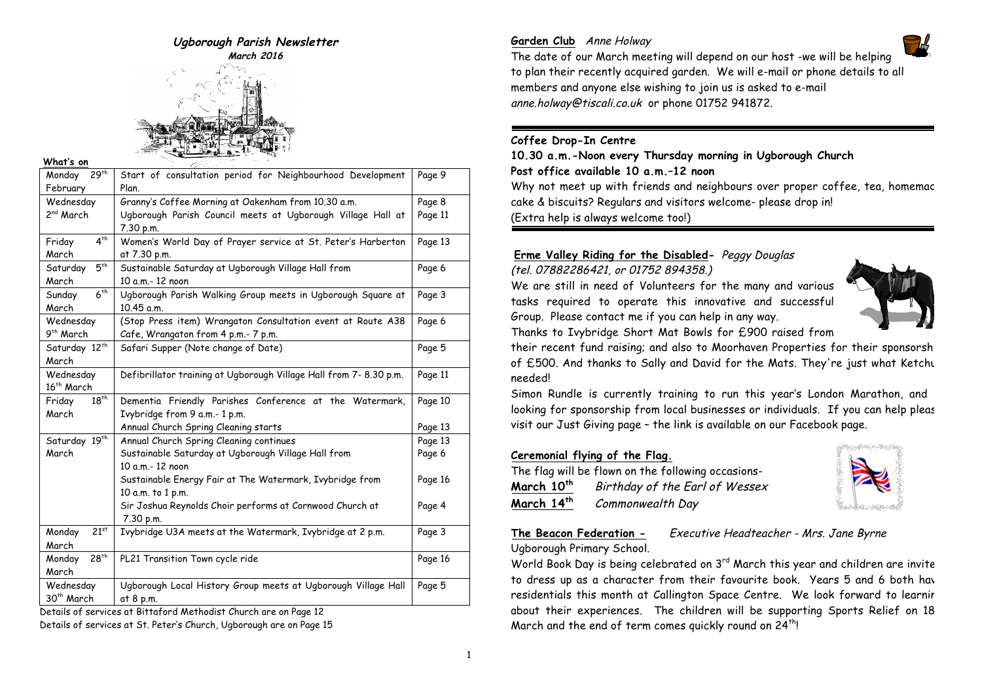

#### **What's on**

| 29 <sup>th</sup><br>Monday                                                                                | Start of consultation period for Neighbourhood Development         | Page 9  |  |
|-----------------------------------------------------------------------------------------------------------|--------------------------------------------------------------------|---------|--|
| February                                                                                                  | Plan.                                                              |         |  |
| Wednesday                                                                                                 | Granny's Coffee Morning at Oakenham from 10.30 a.m.                | Page 8  |  |
| 2 <sup>nd</sup> March                                                                                     | Ugborough Parish Council meets at Ugborough Village Hall at        | Page 11 |  |
|                                                                                                           | 7.30 p.m.                                                          |         |  |
| 4 <sup>th</sup><br>Friday                                                                                 | Women's World Day of Prayer service at St. Peter's Harberton       | Page 13 |  |
| March                                                                                                     | at 7.30 p.m.                                                       |         |  |
| 5 <sup>th</sup><br>Saturday                                                                               | Sustainable Saturday at Ugborough Village Hall from                | Page 6  |  |
| March                                                                                                     | 10 a.m.- 12 noon                                                   |         |  |
| 6 <sup>th</sup><br>Sunday                                                                                 | Ugborough Parish Walking Group meets in Ugborough Square at        | Page 3  |  |
| March                                                                                                     | 10.45 a.m.                                                         |         |  |
| Wednesday                                                                                                 | (Stop Press item) Wrangaton Consultation event at Route A38        | Page 6  |  |
| 9 <sup>th</sup> March                                                                                     | Cafe, Wrangaton from 4 p.m.- 7 p.m.                                |         |  |
| Saturday 12 <sup>th</sup>                                                                                 | Safari Supper (Note change of Date)                                | Page 5  |  |
| March                                                                                                     |                                                                    |         |  |
| Wednesday                                                                                                 | Defibrillator training at Ugborough Village Hall from 7- 8.30 p.m. | Page 11 |  |
| 16 <sup>th</sup> March                                                                                    |                                                                    |         |  |
| $18^{th}$<br>Friday                                                                                       | Dementia Friendly Parishes Conference at the Watermark,            | Page 10 |  |
| March                                                                                                     | Ivybridge from 9 a.m.- 1 p.m.                                      |         |  |
|                                                                                                           | Annual Church Spring Cleaning starts                               |         |  |
|                                                                                                           |                                                                    | Page 13 |  |
| Saturday 19th                                                                                             | Annual Church Spring Cleaning continues                            | Page 13 |  |
| March                                                                                                     | Sustainable Saturday at Ugborough Village Hall from                | Page 6  |  |
|                                                                                                           | 10 a.m.- 12 noon                                                   |         |  |
|                                                                                                           | Sustainable Energy Fair at The Watermark, Ivybridge from           | Page 16 |  |
|                                                                                                           | 10 a.m. to 1 p.m.                                                  |         |  |
|                                                                                                           | Sir Joshua Reynolds Choir performs at Cornwood Church at           | Page 4  |  |
|                                                                                                           | 7.30 p.m.                                                          |         |  |
| $21^{st}$<br>Monday                                                                                       | Ivybridge U3A meets at the Watermark, Ivybridge at 2 p.m.          | Page 3  |  |
| March                                                                                                     |                                                                    |         |  |
| 28 <sup>th</sup><br>Monday                                                                                | PL21 Transition Town cycle ride                                    | Page 16 |  |
| March                                                                                                     |                                                                    |         |  |
| Wednesday                                                                                                 | Ugborough Local History Group meets at Ugborough Village Hall      | Page 5  |  |
| 30th March                                                                                                | at 8 p.m.                                                          |         |  |
| $\sim$ the District and Martin distribution of the same $\sim$ December 10.<br>والمستوفي كالمراج والاستقا |                                                                    |         |  |

Details of services at Bittaford Methodist Church are on Page 12

Details of services at St. Peter's Church, Ugborough are on Page 15

# **Garden Club** Anne Holway



The date of our March meeting will depend on our host -we will be helping to plan their recently acquired garden. We will e-mail or phone details to all members and anyone else wishing to join us is asked to e-mail anne.holway@tiscali.co.uk or phone 01752 941872.

# **Coffee Drop-In Centre**

**10.30 a.m.-Noon every Thursday morning in Ugborough Church Post office available 10 a.m.–12 noon** Why not meet up with friends and neighbours over proper coffee, tea, homemac cake & biscuits? Regulars and visitors welcome- please drop in! (Extra help is always welcome too!)

# **Erme Valley Riding for the Disabled-** Peggy Douglas

(tel. 07882286421, or 01752 894358.)

We are still in need of Volunteers for the many and various tasks required to operate this innovative and successful Group. Please contact me if you can help in any way. Thanks to Ivybridge Short Mat Bowls for £900 raised from



their recent fund raising; and also to Moorhaven Properties for their sponsorship of £500. And thanks to Sally and David for the Mats. They're just what Ketchu needed!

Simon Rundle is currently training to run this year's London Marathon, and looking for sponsorship from local businesses or individuals. If you can help pleas visit our Just Giving page – the link is available on our Facebook page.

# **Ceremonial flying of the Flag.**

The flag will be flown on the following occasions-**March 10th** Birthday of the Earl of Wessex **March 14th** Commonwealth Day



### **The Beacon Federation -** Executive Headteacher - Mrs. Jane Byrne Ugborough Primary School.

World Book Day is being celebrated on 3<sup>rd</sup> March this year and children are invite to dress up as a character from their favourite book. Years 5 and 6 both have residentials this month at Callington Space Centre. We look forward to learnir about their experiences. The children will be supporting Sports Relief on 18 March and the end of term comes quickly round on 24<sup>th</sup>!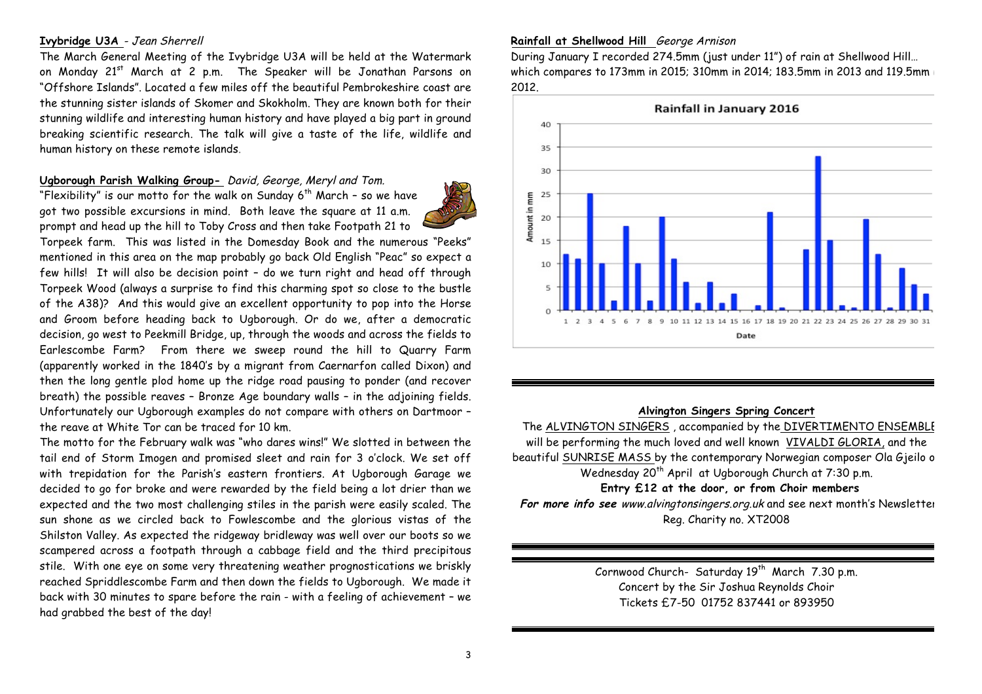## **Ivybridge U3A** - Jean Sherrell

The March General Meeting of the Ivybridge U3A will be held at the Watermark on Monday 21<sup>st</sup> March at 2 p.m. The Speaker will be Jonathan Parsons on "Offshore Islands". Located a few miles off the beautiful Pembrokeshire coast are the stunning sister islands of Skomer and Skokholm. They are known both for their stunning wildlife and interesting human history and have played a big part in ground breaking scientific research. The talk will give a taste of the life, wildlife and human history on these remote islands.

# **Ugborough Parish Walking Group-** David, George, Meryl and Tom.

"Flexibility" is our motto for the walk on Sunday  $6^{th}$  March - so we have got two possible excursions in mind. Both leave the square at 11 a.m. prompt and head up the hill to Toby Cross and then take Footpath 21 to

Torpeek farm. This was listed in the Domesday Book and the numerous "Peeks" mentioned in this area on the map probably go back Old English "Peac" so expect a few hills! It will also be decision point – do we turn right and head off through Torpeek Wood (always a surprise to find this charming spot so close to the bustle of the A38)? And this would give an excellent opportunity to pop into the Horse and Groom before heading back to Ugborough. Or do we, after a democratic decision, go west to Peekmill Bridge, up, through the woods and across the fields to Earlescombe Farm? From there we sweep round the hill to Quarry Farm (apparently worked in the 1840's by a migrant from Caernarfon called Dixon) and then the long gentle plod home up the ridge road pausing to ponder (and recover breath) the possible reaves – Bronze Age boundary walls – in the adjoining fields. Unfortunately our Ugborough examples do not compare with others on Dartmoor – the reave at White Tor can be traced for 10 km.

The motto for the February walk was "who dares wins!" We slotted in between the tail end of Storm Imogen and promised sleet and rain for 3 o'clock. We set off with trepidation for the Parish's eastern frontiers. At Ugborough Garage we decided to go for broke and were rewarded by the field being a lot drier than we expected and the two most challenging stiles in the parish were easily scaled. The sun shone as we circled back to Fowlescombe and the glorious vistas of the Shilston Valley. As expected the ridgeway bridleway was well over our boots so we scampered across a footpath through a cabbage field and the third precipitous stile. With one eye on some very threatening weather prognostications we briskly reached Spriddlescombe Farm and then down the fields to Ugborough. We made it back with 30 minutes to spare before the rain - with a feeling of achievement – we had grabbed the best of the day!

### **Rainfall at Shellwood Hill** George Arnison

During January I recorded 274.5mm (just under 11") of rain at Shellwood Hill… which compares to 173mm in 2015; 310mm in 2014; 183.5mm in 2013 and 119.5mm in 2012.



#### **Alvington Singers Spring Concert**

The ALVINGTON SINGERS , accompanied by the DIVERTIMENTO ENSEMBLE will be performing the much loved and well known VIVALDI GLORIA, and the beautiful SUNRISE MASS by the contemporary Norwegian composer Ola Gjeilo on Wednesday 20<sup>th</sup> April at Ugborough Church at 7:30 p.m.

## **Entry £12 at the door, or from Choir members**

For more info see www.alvingtonsingers.org.uk and see next month's Newsletter Reg. Charity no. XT2008

> Cornwood Church- Saturday 19<sup>th</sup> March 7.30 p.m. Concert by the Sir Joshua Reynolds Choir Tickets £7-50 01752 837441 or 893950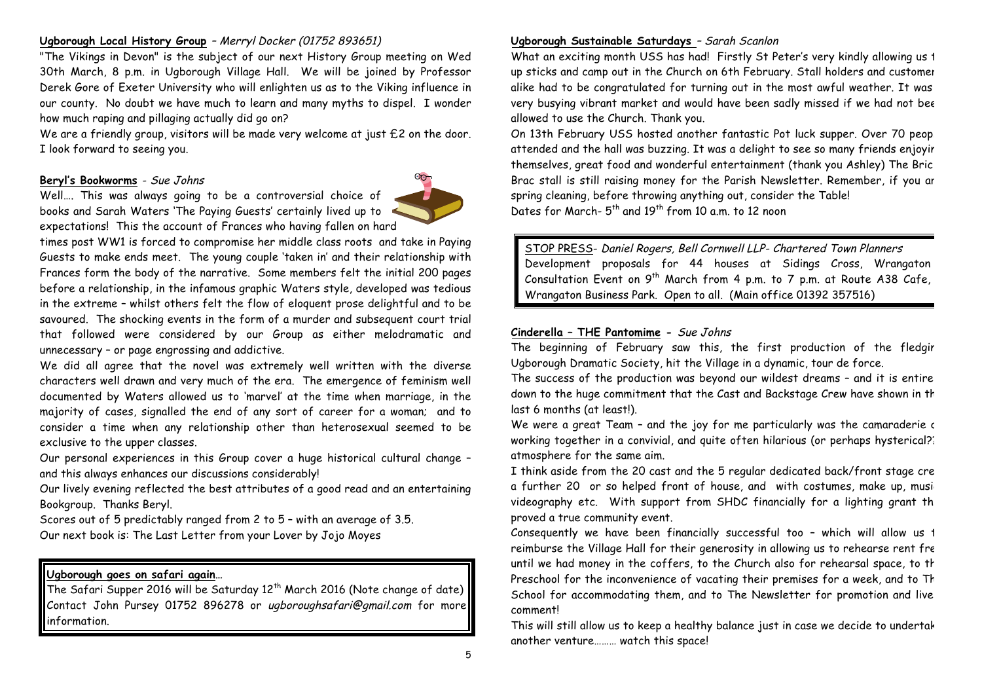# **Ugborough Local History Group** – Merryl Docker (01752 893651)

"The Vikings in Devon" is the subject of our next History Group meeting on Wed 30th March, 8 p.m. in Ugborough Village Hall. We will be joined by Professor Derek Gore of Exeter University who will enlighten us as to the Viking influence in our county. No doubt we have much to learn and many myths to dispel. I wonder how much raping and pillaging actually did go on?

We are a friendly group, visitors will be made very welcome at just £2 on the door. I look forward to seeing you.

### **Beryl's Bookworms** - Sue Johns

Well…. This was always going to be a controversial choice of books and Sarah Waters 'The Paying Guests' certainly lived up to expectations! This the account of Frances who having fallen on hard

times post WW1 is forced to compromise her middle class roots and take in Paying Guests to make ends meet. The young couple 'taken in' and their relationship with Frances form the body of the narrative. Some members felt the initial 200 pages before a relationship, in the infamous graphic Waters style, developed was tedious in the extreme – whilst others felt the flow of eloquent prose delightful and to be savoured. The shocking events in the form of a murder and subsequent court trial that followed were considered by our Group as either melodramatic and unnecessary – or page engrossing and addictive.

We did all agree that the novel was extremely well written with the diverse characters well drawn and very much of the era. The emergence of feminism well documented by Waters allowed us to 'marvel' at the time when marriage, in the majority of cases, signalled the end of any sort of career for a woman; and to consider a time when any relationship other than heterosexual seemed to be exclusive to the upper classes.

Our personal experiences in this Group cover a huge historical cultural change – and this always enhances our discussions considerably!

Our lively evening reflected the best attributes of a good read and an entertaining Bookgroup. Thanks Beryl.

Scores out of 5 predictably ranged from 2 to 5 – with an average of 3.5. Our next book is: The Last Letter from your Lover by Jojo Moyes

## **Ugborough goes on safari again…**

The Safari Supper 2016 will be Saturday  $12<sup>th</sup>$  March 2016 (Note change of date) Contact John Pursey 01752 896278 or ugboroughsafari@gmail.com for more information.

# **Ugborough Sustainable Saturdays** – Sarah Scanlon

What an exciting month USS has had! Firstly St Peter's very kindly allowing us 1 up sticks and camp out in the Church on 6th February. Stall holders and customers alike had to be congratulated for turning out in the most awful weather. It was very busying vibrant market and would have been sadly missed if we had not been allowed to use the Church. Thank you.

On 13th February USS hosted another fantastic Pot luck supper. Over 70 people attended and the hall was buzzing. It was a delight to see so many friends enjoyir themselves, great food and wonderful entertainment (thank you Ashley) The Bric a Brac stall is still raising money for the Parish Newsletter. Remember, if you ar spring cleaning, before throwing anything out, consider the Table! Dates for March- $5<sup>th</sup>$  and  $19<sup>th</sup>$  from 10 a.m. to 12 noon

STOP PRESS- Daniel Rogers, Bell Cornwell LLP- Chartered Town Planners Development proposals for 44 houses at Sidings Cross, Wrangaton Consultation Event on  $9^{th}$  March from 4 p.m. to 7 p.m. at Route A38 Cafe, Wrangaton Business Park. Open to all. (Main office 01392 357516)

#### **Cinderella – THE Pantomime -** Sue Johns

The beginning of February saw this, the first production of the fledgir Ugborough Dramatic Society, hit the Village in a dynamic, tour de force.

The success of the production was beyond our wildest dreams - and it is entire down to the huge commitment that the Cast and Backstage Crew have shown in th last 6 months (at least!).

We were a great Team - and the joy for me particularly was the camaraderie c working together in a convivial, and quite often hilarious (or perhaps hysterical?) atmosphere for the same aim.

I think aside from the 20 cast and the 5 regular dedicated back/front stage crew a further 20 or so helped front of house, and with costumes, make up, musivideography etc. With support from SHDC financially for a lighting grant the proved a true community event.

Consequently we have been financially successful too - which will allow us  $t$ reimburse the Village Hall for their generosity in allowing us to rehearse rent free until we had money in the coffers, to the Church also for rehearsal space, to th Preschool for the inconvenience of vacating their premises for a week, and to Th School for accommodating them, and to The Newsletter for promotion and live comment!

This will still allow us to keep a healthy balance just in case we decide to undertak another venture……… watch this space!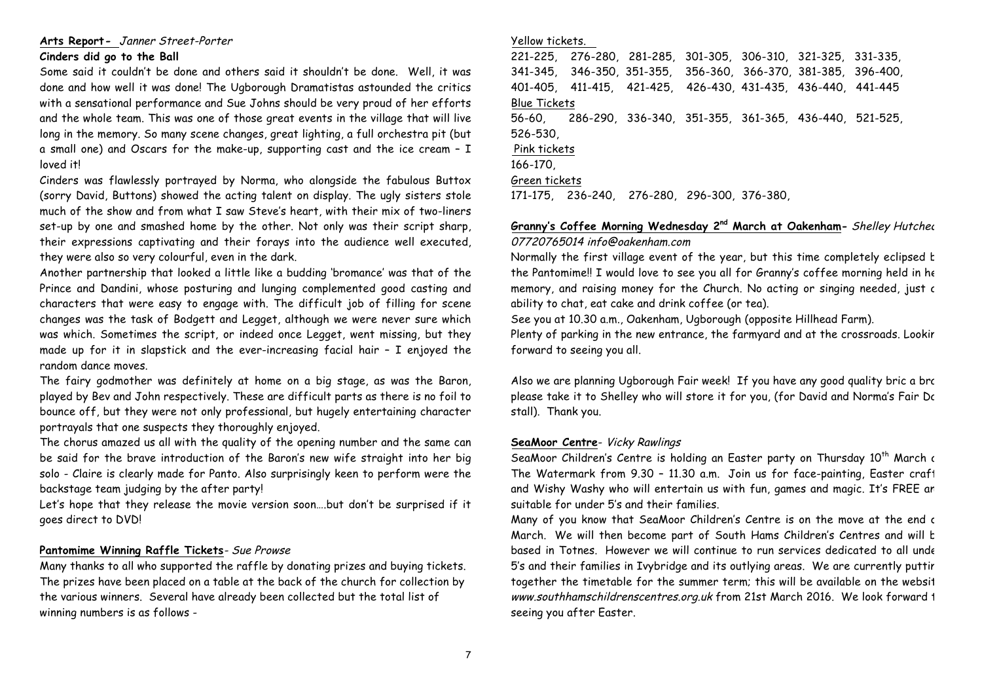# **Arts Report-** Janner Street-Porter

## **Cinders did go to the Ball**

Some said it couldn't be done and others said it shouldn't be done. Well, it was done and how well it was done! The Ugborough Dramatistas astounded the critics with a sensational performance and Sue Johns should be very proud of her efforts and the whole team. This was one of those great events in the village that will live long in the memory. So many scene changes, great lighting, a full orchestra pit (but a small one) and Oscars for the make-up, supporting cast and the ice cream – I loved it!

Cinders was flawlessly portrayed by Norma, who alongside the fabulous Buttox (sorry David, Buttons) showed the acting talent on display. The ugly sisters stole much of the show and from what I saw Steve's heart, with their mix of two-liners set-up by one and smashed home by the other. Not only was their script sharp, their expressions captivating and their forays into the audience well executed, they were also so very colourful, even in the dark.

Another partnership that looked a little like a budding 'bromance' was that of the Prince and Dandini, whose posturing and lunging complemented good casting and characters that were easy to engage with. The difficult job of filling for scene changes was the task of Bodgett and Legget, although we were never sure which was which. Sometimes the script, or indeed once Legget, went missing, but they made up for it in slapstick and the ever-increasing facial hair – I enjoyed the random dance moves.

The fairy godmother was definitely at home on a big stage, as was the Baron, played by Bev and John respectively. These are difficult parts as there is no foil to bounce off, but they were not only professional, but hugely entertaining character portrayals that one suspects they thoroughly enjoyed.

The chorus amazed us all with the quality of the opening number and the same can be said for the brave introduction of the Baron's new wife straight into her big solo - Claire is clearly made for Panto. Also surprisingly keen to perform were the backstage team judging by the after party!

Let's hope that they release the movie version soon….but don't be surprised if it goes direct to DVD!

## **Pantomime Winning Raffle Tickets**- Sue Prowse

Many thanks to all who supported the raffle by donating prizes and buying tickets. The prizes have been placed on a table at the back of the church for collection by the various winners. Several have already been collected but the total list of winning numbers is as follows -

#### Yellow tickets.

221-225, 276-280, 281-285, 301-305, 306-310, 321-325, 331-335, 341-345, 346-350, 351-355, 356-360, 366-370, 381-385, 396-400, 401-405, 411-415, 421-425, 426-430, 431-435, 436-440, 441-445 Blue Tickets 56-60, 286-290, 336-340, 351-355, 361-365, 436-440, 521-525, 526-530, Pink tickets 166-170, Green tickets 171-175, 236-240, 276-280, 296-300, 376-380,

# **Granny's Coffee Morning Wednesday 2<sup>nd</sup> March at Oakenham-** Shelley Hutched 07720765014 info@oakenham.com

Normally the first village event of the year, but this time completely eclipsed  $t$ the Pantomime!! I would love to see you all for Granny's coffee morning held in her memory, and raising money for the Church. No acting or singing needed, just c ability to chat, eat cake and drink coffee (or tea).

See you at 10.30 a.m., Oakenham, Ugborough (opposite Hillhead Farm).

Plenty of parking in the new entrance, the farmyard and at the crossroads. Lookir forward to seeing you all.

Also we are planning Ugborough Fair week! If you have any good quality bric a brac please take it to Shelley who will store it for you, (for David and Norma's Fair Dc stall). Thank you.

## **SeaMoor Centre**- Vicky Rawlings

SeaMoor Children's Centre is holding an Easter party on Thursday 10<sup>th</sup> March at The Watermark from 9.30 - 11.30 a.m. Join us for face-painting, Easter craft and Wishy Washy who will entertain us with fun, games and magic. It's FREE an suitable for under 5's and their families.

Many of you know that SeaMoor Children's Centre is on the move at the end c March. We will then become part of South Hams Children's Centres and will b based in Totnes. However we will continue to run services dedicated to all under 5's and their families in Ivybridge and its outlying areas. We are currently putting together the timetable for the summer term; this will be available on the websit www.southhamschildrenscentres.org.uk from 21st March 2016. We look forward 1 seeing you after Easter.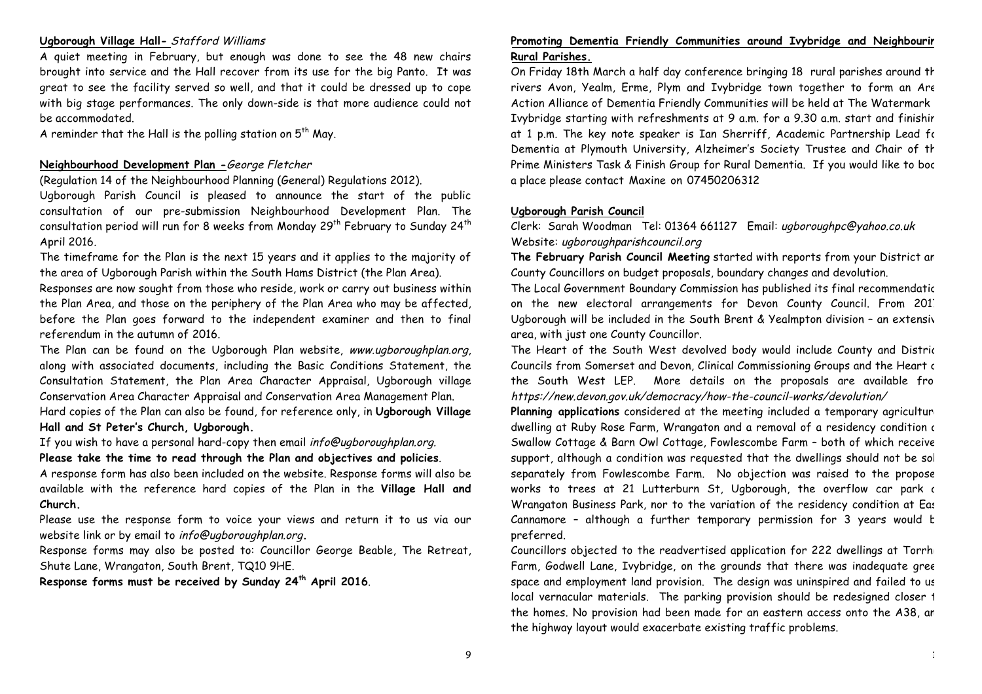#### **Ugborough Village Hall-** Stafford Williams

A quiet meeting in February, but enough was done to see the 48 new chairs brought into service and the Hall recover from its use for the big Panto. It was great to see the facility served so well, and that it could be dressed up to cope with big stage performances. The only down-side is that more audience could not be accommodated.

A reminder that the Hall is the polling station on  $5<sup>th</sup>$  May.

## **Neighbourhood Development Plan -**George Fletcher

(Regulation 14 of the Neighbourhood Planning (General) Regulations 2012).

Ugborough Parish Council is pleased to announce the start of the public consultation of our pre-submission Neighbourhood Development Plan. The consultation period will run for 8 weeks from Monday  $29^{th}$  February to Sunday  $24^{th}$ April 2016.

The timeframe for the Plan is the next 15 years and it applies to the majority of the area of Ugborough Parish within the South Hams District (the Plan Area).

Responses are now sought from those who reside, work or carry out business within the Plan Area, and those on the periphery of the Plan Area who may be affected, before the Plan goes forward to the independent examiner and then to final referendum in the autumn of 2016.

The Plan can be found on the Ugborough Plan website, www.ugboroughplan.org, along with associated documents, including the Basic Conditions Statement, the Consultation Statement, the Plan Area Character Appraisal, Ugborough village Conservation Area Character Appraisal and Conservation Area Management Plan.

Hard copies of the Plan can also be found, for reference only, in **Ugborough Village Hall and St Peter's Church, Ugborough.**

If you wish to have a personal hard-copy then email info@ugboroughplan.org.

**Please take the time to read through the Plan and objectives and policies**.

A response form has also been included on the website. Response forms will also be available with the reference hard copies of the Plan in the **Village Hall and Church.**

Please use the response form to voice your views and return it to us via our website link or by email to info@ugboroughplan.org**.**

Response forms may also be posted to: Councillor George Beable, The Retreat, Shute Lane, Wrangaton, South Brent, TQ10 9HE.

**Response forms must be received by Sunday 24th April 2016**.

# **Promoting Dementia Friendly Communities around Ivybridge and Neighbouring Rural Parishes.**

On Friday 18th March a half day conference bringing 18 rural parishes around the rivers Avon, Yealm, Erme, Plym and Ivybridge town together to form an Are Action Alliance of Dementia Friendly Communities will be held at The Watermark in Ivybridge starting with refreshments at 9 a.m. for a 9.30 a.m. start and finishir at 1 p.m. The key note speaker is Ian Sherriff, Academic Partnership Lead for Dementia at Plymouth University, Alzheimer's Society Trustee and Chair of th Prime Ministers Task & Finish Group for Rural Dementia. If you would like to boc a place please contact Maxine on 07450206312

#### **Ugborough Parish Council**

Clerk: Sarah Woodman Tel: 01364 661127 Email: ugboroughpc@yahoo.co.uk Website: ugboroughparishcouncil.org

**The February Parish Council Meeting** started with reports from your District and County Councillors on budget proposals, boundary changes and devolution.

The Local Government Boundary Commission has published its final recommendatic on the new electoral arrangements for Devon County Council. From 201 Ugborough will be included in the South Brent & Yealmpton division - an extensive area, with just one County Councillor.

The Heart of the South West devolved body would include County and Distric Councils from Somerset and Devon, Clinical Commissioning Groups and the Heart c the South West LEP. More details on the proposals are available from https://new.devon.gov.uk/democracy/how-the-council-works/devolution/

Planning applications considered at the meeting included a temporary agriculture dwelling at Ruby Rose Farm, Wrangaton and a removal of a residency condition at Swallow Cottage & Barn Owl Cottage, Fowlescombe Farm – both of which received support, although a condition was requested that the dwellings should not be sol separately from Fowlescombe Farm. No objection was raised to the propose works to trees at 21 Lutterburn St, Ugborough, the overflow car park at Wrangaton Business Park, nor to the variation of the residency condition at East Cannamore – although a further temporary permission for 3 years would be preferred.

Councillors objected to the readvertised application for 222 dwellings at Torrhi Farm, Godwell Lane, Ivybridge, on the grounds that there was inadequate gree space and employment land provision. The design was uninspired and failed to us local vernacular materials. The parking provision should be redesigned closer 1 the homes. No provision had been made for an eastern access onto the A38, and the highway layout would exacerbate existing traffic problems.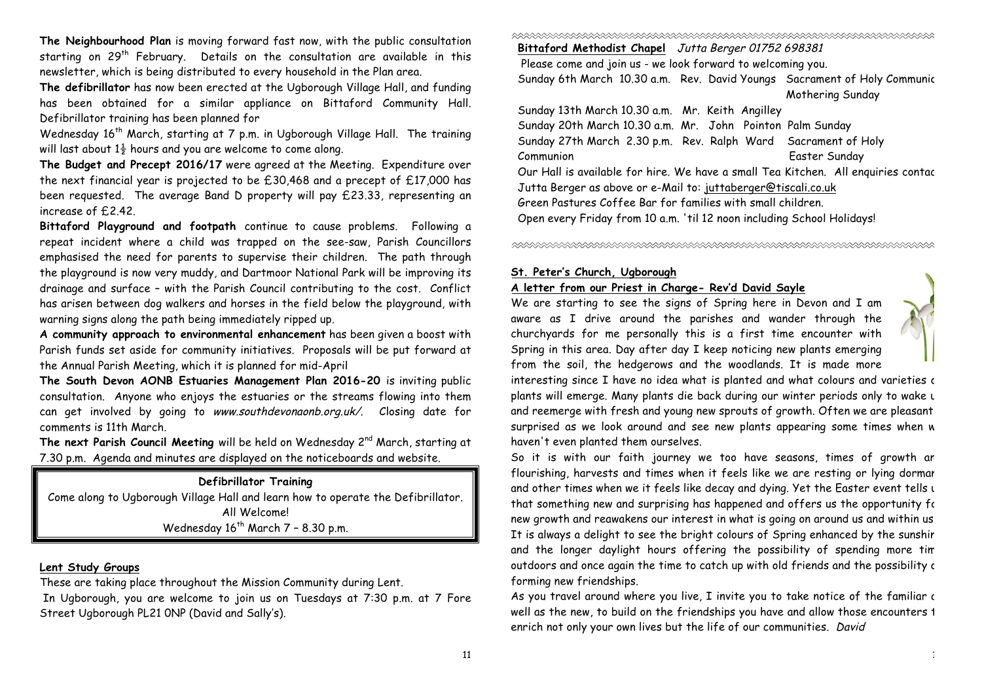**The Neighbourhood Plan** is moving forward fast now, with the public consultation starting on 29<sup>th</sup> February. Details on the consultation are available in this newsletter, which is being distributed to every household in the Plan area.

**The defibrillator** has now been erected at the Ugborough Village Hall, and funding has been obtained for a similar appliance on Bittaford Community Hall. Defibrillator training has been planned for

Wednesday 16<sup>th</sup> March, starting at 7 p.m. in Ugborough Village Hall. The training will last about  $1\frac{1}{2}$  hours and you are welcome to come along.

**The Budget and Precept 2016/17** were agreed at the Meeting. Expenditure over the next financial year is projected to be £30,468 and a precept of £17,000 has been requested. The average Band D property will pay £23.33, representing an increase of £2.42.

**Bittaford Playground and footpath** continue to cause problems. Following a repeat incident where a child was trapped on the see-saw, Parish Councillors emphasised the need for parents to supervise their children. The path through the playground is now very muddy, and Dartmoor National Park will be improving its drainage and surface – with the Parish Council contributing to the cost. Conflict has arisen between dog walkers and horses in the field below the playground, with warning signs along the path being immediately ripped up.

**A community approach to environmental enhancement** has been given a boost with Parish funds set aside for community initiatives. Proposals will be put forward at the Annual Parish Meeting, which it is planned for mid-April

**The South Devon AONB Estuaries Management Plan 2016-20** is inviting public consultation. Anyone who enjoys the estuaries or the streams flowing into them can get involved by going to www.southdevonaonb.org.uk/. Closing date for comments is 11th March.

The next Parish Council Meeting will be held on Wednesday 2<sup>nd</sup> March, starting at 7.30 p.m. Agenda and minutes are displayed on the noticeboards and website.

# **Defibrillator Training** Come along to Ugborough Village Hall and learn how to operate the Defibrillator. All Welcome! Wednesday  $16^{th}$  March 7 - 8.30 p.m.

#### **Lent Study Groups**

These are taking place throughout the Mission Community during Lent.

In Ugborough, you are welcome to join us on Tuesdays at 7:30 p.m. at 7 Fore Street Ugborough PL21 0NP (David and Sally's).

**Bittaford Methodist Chapel** Jutta Berger 01752 698381

Please come and join us - we look forward to welcoming you. Sunday 6th March 10.30 a.m. Rev. David Youngs Sacrament of Holy Communic Mothering Sunday Sunday 13th March 10.30 a.m. Mr. Keith Angilley

Sunday 20th March 10.30 a.m. Mr. John Pointon Palm Sunday Sunday 27th March 2.30 p.m. Rev. Ralph Ward Sacrament of Holy Communion Easter Sunday Our Hall is available for hire. We have a small Tea Kitchen. All enquiries contact Jutta Berger as above or e-Mail to: juttaberger@tiscali.co.uk Green Pastures Coffee Bar for families with small children. Open every Friday from 10 a.m. 'til 12 noon including School Holidays!

#### **St. Peter's Church, Ugborough**

### **A letter from our Priest in Charge- Rev'd David Sayle**

We are starting to see the signs of Spring here in Devon and I am aware as I drive around the parishes and wander through the churchyards for me personally this is a first time encounter with Spring in this area. Day after day I keep noticing new plants emerging from the soil, the hedgerows and the woodlands. It is made more

interesting since I have no idea what is planted and what colours and varieties c plants will emerge. Many plants die back during our winter periods only to wake u and reemerge with fresh and young new sprouts of growth. Often we are pleasant surprised as we look around and see new plants appearing some times when w haven't even planted them ourselves.

So it is with our faith journey we too have seasons, times of growth an flourishing, harvests and times when it feels like we are resting or lying dormar and other times when we it feels like decay and dying. Yet the Easter event tells us that something new and surprising has happened and offers us the opportunity for new growth and reawakens our interest in what is going on around us and within us. It is always a delight to see the bright colours of Spring enhanced by the sunshir and the longer daylight hours offering the possibility of spending more tim outdoors and once again the time to catch up with old friends and the possibility c forming new friendships.

As you travel around where you live,  $I$  invite you to take notice of the familiar  $\epsilon$ well as the new, to build on the friendships you have and allow those encounters 1 enrich not only your own lives but the life of our communities. David

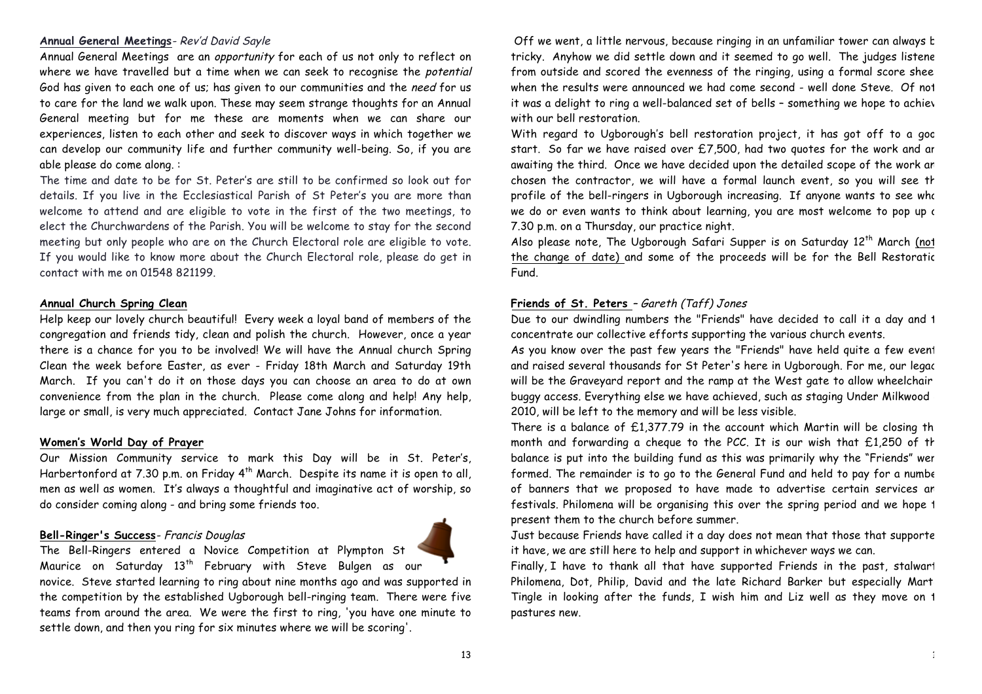### **Annual General Meetings**- Rev'd David Sayle

Annual General Meetings are an opportunity for each of us not only to reflect on where we have travelled but a time when we can seek to recognise the potential God has given to each one of us; has given to our communities and the need for us to care for the land we walk upon. These may seem strange thoughts for an Annual General meeting but for me these are moments when we can share our experiences, listen to each other and seek to discover ways in which together we can develop our community life and further community well-being. So, if you are able please do come along. :

The time and date to be for St. Peter's are still to be confirmed so look out for details. If you live in the Ecclesiastical Parish of St Peter's you are more than welcome to attend and are eligible to vote in the first of the two meetings, to elect the Churchwardens of the Parish. You will be welcome to stay for the second meeting but only people who are on the Church Electoral role are eligible to vote. If you would like to know more about the Church Electoral role, please do get in contact with me on 01548 821199.

### **Annual Church Spring Clean**

Help keep our lovely church beautiful! Every week a loyal band of members of the congregation and friends tidy, clean and polish the church. However, once a year there is a chance for you to be involved! We will have the Annual church Spring Clean the week before Easter, as ever - Friday 18th March and Saturday 19th March. If you can't do it on those days you can choose an area to do at own convenience from the plan in the church. Please come along and help! Any help, large or small, is very much appreciated. Contact Jane Johns for information.

#### **Women's World Day of Prayer**

Our Mission Community service to mark this Day will be in St. Peter's, Harbertonford at 7.30 p.m. on Friday  $4<sup>th</sup>$  March. Despite its name it is open to all, men as well as women. It's always a thoughtful and imaginative act of worship, so do consider coming along - and bring some friends too.

# **Bell-Ringer's Success**- Francis Douglas



Maurice on Saturday 13<sup>th</sup> February with Steve Bulgen as our novice. Steve started learning to ring about nine months ago and was supported in the competition by the established Ugborough bell-ringing team. There were five teams from around the area. We were the first to ring, 'you have one minute to settle down, and then you ring for six minutes where we will be scoring'.

Off we went, a little nervous, because ringing in an unfamiliar tower can always b tricky. Anyhow we did settle down and it seemed to go well. The judges listene from outside and scored the evenness of the ringing, using a formal score shee when the results were announced we had come second - well done Steve. Of not it was a delight to ring a well-balanced set of bells - something we hope to achiev with our bell restoration.

With regard to Ugborough's bell restoration project, it has got off to a good start. So far we have raised over £7,500, had two quotes for the work and are awaiting the third. Once we have decided upon the detailed scope of the work an chosen the contractor, we will have a formal launch event, so you will see the profile of the bell-ringers in Ugborough increasing. If anyone wants to see who we do or even wants to think about learning, you are most welcome to pop up at 7.30 p.m. on a Thursday, our practice night.

Also please note, The Ugborough Safari Supper is on Saturday  $12<sup>th</sup>$  March (not the change of date) and some of the proceeds will be for the Bell Restoratic Fund.

# **Friends of St. Peters** – Gareth (Taff) Jones

Due to our dwindling numbers the "Friends" have decided to call it a day and 1 concentrate our collective efforts supporting the various church events.

As you know over the past few years the "Friends" have held quite a few event and raised several thousands for St Peter's here in Ugborough. For me, our legac will be the Graveyard report and the ramp at the West gate to allow wheelchair buggy access. Everything else we have achieved, such as staging Under Milkwood 2010, will be left to the memory and will be less visible.

There is a balance of  $£1,377.79$  in the account which Martin will be closing th month and forwarding a cheque to the PCC. It is our wish that  $£1,250$  of the balance is put into the building fund as this was primarily why the "Friends" wer formed. The remainder is to go to the General Fund and held to pay for a numbe of banners that we proposed to have made to advertise certain services an festivals. Philomena will be organising this over the spring period and we hope 1 present them to the church before summer.

Just because Friends have called it a day does not mean that those that supporte it have, we are still here to help and support in whichever ways we can.

Finally, I have to thank all that have supported Friends in the past, stalwart Philomena, Dot, Philip, David and the late Richard Barker but especially Marti Tingle in looking after the funds, I wish him and Liz well as they move on 1 pastures new.